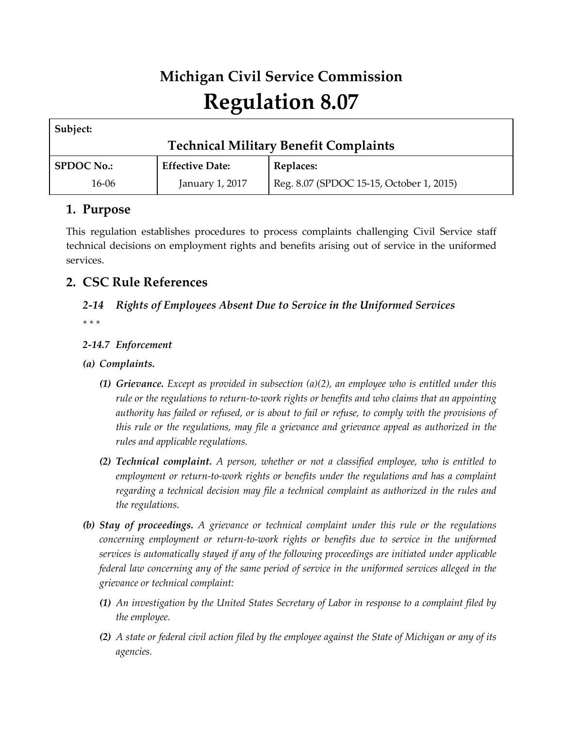# **Michigan Civil Service Commission Regulation 8.07**

| Subject:                                     |                        |                                          |  |  |
|----------------------------------------------|------------------------|------------------------------------------|--|--|
| <b>Technical Military Benefit Complaints</b> |                        |                                          |  |  |
| <b>SPDOC No.:</b>                            | <b>Effective Date:</b> | Replaces:                                |  |  |
| 16-06                                        | January 1, 2017        | Reg. 8.07 (SPDOC 15-15, October 1, 2015) |  |  |

## **1. Purpose**

This regulation establishes procedures to process complaints challenging Civil Service staff technical decisions on employment rights and benefits arising out of service in the uniformed services.

## **2. CSC Rule References**

# *2-14 Rights of Employees Absent Due to Service in the Uniformed Services*

*\* \* \** 

#### *2-14.7 Enforcement*

#### *(a) Complaints.*

- *(1) Grievance. Except as provided in subsection (a)(2), an employee who is entitled under this rule or the regulations to return-to-work rights or benefits and who claims that an appointing authority has failed or refused, or is about to fail or refuse, to comply with the provisions of this rule or the regulations, may file a grievance and grievance appeal as authorized in the rules and applicable regulations.*
- *(2) Technical complaint. A person, whether or not a classified employee, who is entitled to employment or return-to-work rights or benefits under the regulations and has a complaint regarding a technical decision may file a technical complaint as authorized in the rules and the regulations.*
- *(b) Stay of proceedings. A grievance or technical complaint under this rule or the regulations concerning employment or return-to-work rights or benefits due to service in the uniformed services is automatically stayed if any of the following proceedings are initiated under applicable federal law concerning any of the same period of service in the uniformed services alleged in the grievance or technical complaint:*
	- *(1) An investigation by the United States Secretary of Labor in response to a complaint filed by the employee.*
	- *(2) A state or federal civil action filed by the employee against the State of Michigan or any of its agencies.*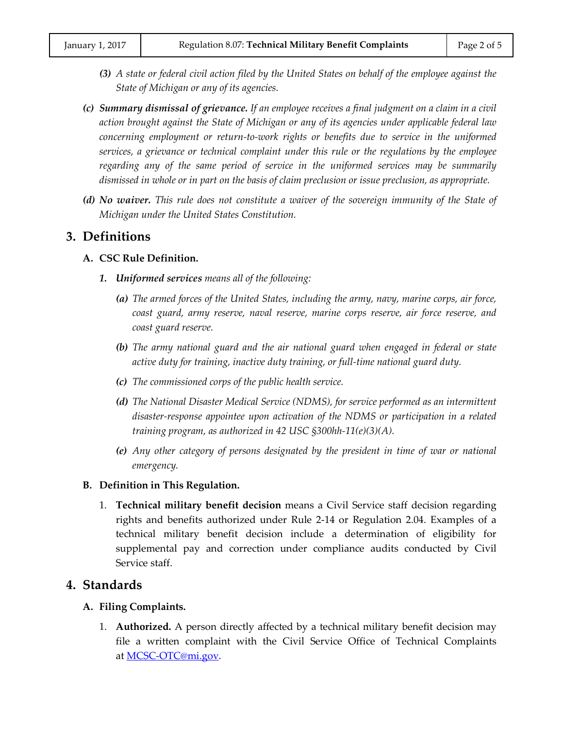- *(3) A state or federal civil action filed by the United States on behalf of the employee against the State of Michigan or any of its agencies.*
- *(c) Summary dismissal of grievance. If an employee receives a final judgment on a claim in a civil action brought against the State of Michigan or any of its agencies under applicable federal law concerning employment or return-to-work rights or benefits due to service in the uniformed services, a grievance or technical complaint under this rule or the regulations by the employee regarding any of the same period of service in the uniformed services may be summarily dismissed in whole or in part on the basis of claim preclusion or issue preclusion, as appropriate.*
- *(d) No waiver. This rule does not constitute a waiver of the sovereign immunity of the State of Michigan under the United States Constitution.*

#### **3. Definitions**

#### **A. CSC Rule Definition.**

- *1. Uniformed services means all of the following:*
	- *(a) The armed forces of the United States, including the army, navy, marine corps, air force, coast guard, army reserve, naval reserve, marine corps reserve, air force reserve, and coast guard reserve.*
	- *(b) The army national guard and the air national guard when engaged in federal or state active duty for training, inactive duty training, or full-time national guard duty.*
	- *(c) The commissioned corps of the public health service.*
	- *(d) The National Disaster Medical Service (NDMS), for service performed as an intermittent disaster-response appointee upon activation of the NDMS or participation in a related training program, as authorized in 42 USC §300hh-11(e)(3)(A).*
	- *(e) Any other category of persons designated by the president in time of war or national emergency.*

#### **B. Definition in This Regulation.**

1. **Technical military benefit decision** means a Civil Service staff decision regarding rights and benefits authorized under Rule 2-14 or Regulation 2.04. Examples of a technical military benefit decision include a determination of eligibility for supplemental pay and correction under compliance audits conducted by Civil Service staff.

#### **4. Standards**

#### **A. Filing Complaints.**

1. **Authorized.** A person directly affected by a technical military benefit decision may file a written complaint with the Civil Service Office of Technical Complaints at <u>MCSC-OTC@mi.gov</u>.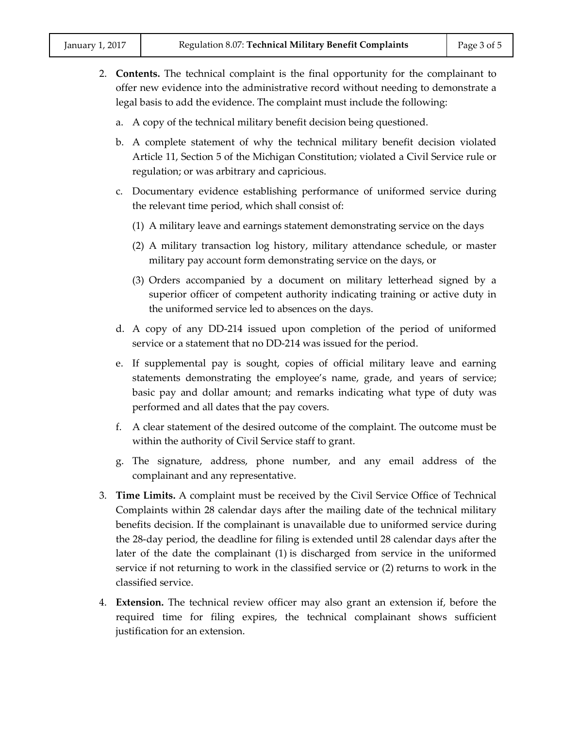- 2. **Contents.** The technical complaint is the final opportunity for the complainant to offer new evidence into the administrative record without needing to demonstrate a legal basis to add the evidence. The complaint must include the following:
	- a. A copy of the technical military benefit decision being questioned.
	- b. A complete statement of why the technical military benefit decision violated Article 11, Section 5 of the Michigan Constitution; violated a Civil Service rule or regulation; or was arbitrary and capricious.
	- c. Documentary evidence establishing performance of uniformed service during the relevant time period, which shall consist of:
		- (1) A military leave and earnings statement demonstrating service on the days
		- (2) A military transaction log history, military attendance schedule, or master military pay account form demonstrating service on the days, or
		- (3) Orders accompanied by a document on military letterhead signed by a superior officer of competent authority indicating training or active duty in the uniformed service led to absences on the days.
	- d. A copy of any DD-214 issued upon completion of the period of uniformed service or a statement that no DD-214 was issued for the period.
	- e. If supplemental pay is sought, copies of official military leave and earning statements demonstrating the employee's name, grade, and years of service; basic pay and dollar amount; and remarks indicating what type of duty was performed and all dates that the pay covers.
	- f. A clear statement of the desired outcome of the complaint. The outcome must be within the authority of Civil Service staff to grant.
	- g. The signature, address, phone number, and any email address of the complainant and any representative.
- 3. **Time Limits.** A complaint must be received by the Civil Service Office of Technical Complaints within 28 calendar days after the mailing date of the technical military benefits decision. If the complainant is unavailable due to uniformed service during the 28-day period, the deadline for filing is extended until 28 calendar days after the later of the date the complainant (1) is discharged from service in the uniformed service if not returning to work in the classified service or (2) returns to work in the classified service.
- 4. **Extension.** The technical review officer may also grant an extension if, before the required time for filing expires, the technical complainant shows sufficient justification for an extension.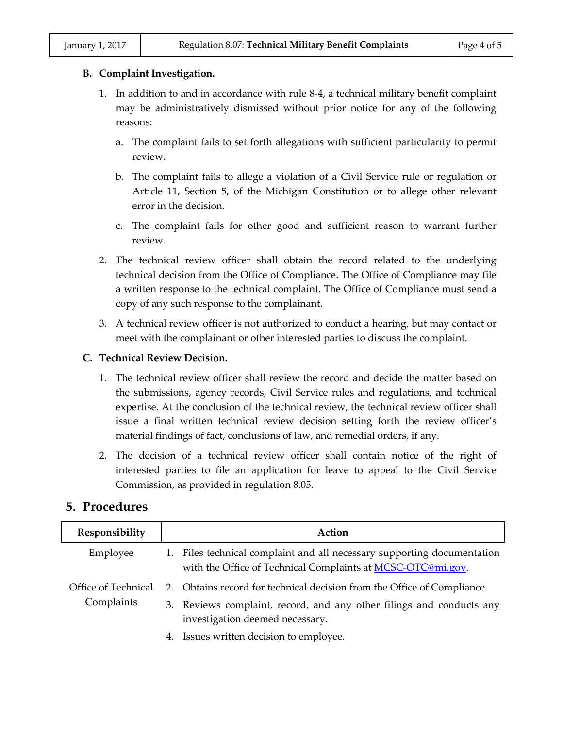#### **B. Complaint Investigation.**

- 1. In addition to and in accordance with rule 8-4, a technical military benefit complaint may be administratively dismissed without prior notice for any of the following reasons:
	- a. The complaint fails to set forth allegations with sufficient particularity to permit review.
	- b. The complaint fails to allege a violation of a Civil Service rule or regulation or Article 11, Section 5, of the Michigan Constitution or to allege other relevant error in the decision.
	- c. The complaint fails for other good and sufficient reason to warrant further review.
- 2. The technical review officer shall obtain the record related to the underlying technical decision from the Office of Compliance. The Office of Compliance may file a written response to the technical complaint. The Office of Compliance must send a copy of any such response to the complainant.
- 3. A technical review officer is not authorized to conduct a hearing, but may contact or meet with the complainant or other interested parties to discuss the complaint.

#### **C. Technical Review Decision.**

- 1. The technical review officer shall review the record and decide the matter based on the submissions, agency records, Civil Service rules and regulations, and technical expertise. At the conclusion of the technical review, the technical review officer shall issue a final written technical review decision setting forth the review officer's material findings of fact, conclusions of law, and remedial orders, if any.
- 2. The decision of a technical review officer shall contain notice of the right of interested parties to file an application for leave to appeal to the Civil Service Commission, as provided in regulation 8.05.

#### **5. Procedures**

| Responsibility                    | Action                                                                                                                                 |
|-----------------------------------|----------------------------------------------------------------------------------------------------------------------------------------|
| Employee                          | 1. Files technical complaint and all necessary supporting documentation<br>with the Office of Technical Complaints at MCSC-OTC@mi.gov. |
| Office of Technical<br>Complaints | 2. Obtains record for technical decision from the Office of Compliance.                                                                |
|                                   | 3. Reviews complaint, record, and any other filings and conducts any<br>investigation deemed necessary.                                |
|                                   | 4. Issues written decision to employee.                                                                                                |